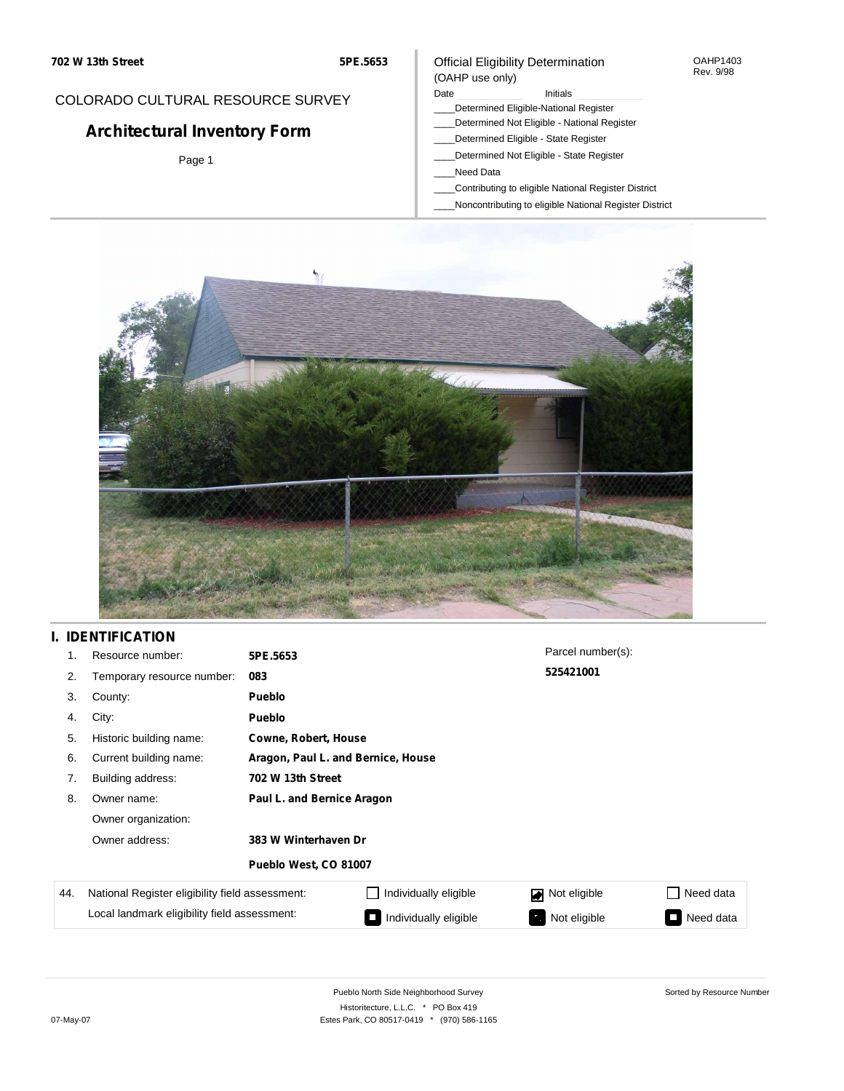### COLORADO CULTURAL RESOURCE SURVEY

# **Architectural Inventory Form**

Page 1

### Official Eligibility Determination (OAHP use only)

#### Date **Initials** Initials

- \_\_\_\_Determined Eligible-National Register
- \_\_\_\_Determined Not Eligible National Register
- \_\_\_\_Determined Eligible State Register
- \_\_\_\_Determined Not Eligible State Register
- \_\_\_\_Need Data
- \_\_\_\_Contributing to eligible National Register District
- \_\_\_\_Noncontributing to eligible National Register District



## **I. IDENTIFICATION**

| 1.  | Resource number:                                | 5PE.5653                           |                                                   | Parcel number(s): |                     |  |  |  |  |  |
|-----|-------------------------------------------------|------------------------------------|---------------------------------------------------|-------------------|---------------------|--|--|--|--|--|
| 2.  | Temporary resource number:                      | 083                                |                                                   | 525421001         |                     |  |  |  |  |  |
| 3.  | County:                                         | <b>Pueblo</b>                      |                                                   |                   |                     |  |  |  |  |  |
| 4.  | City:                                           | <b>Pueblo</b>                      |                                                   |                   |                     |  |  |  |  |  |
| 5.  | Historic building name:                         |                                    | Cowne, Robert, House                              |                   |                     |  |  |  |  |  |
| 6.  | Current building name:                          | Aragon, Paul L. and Bernice, House |                                                   |                   |                     |  |  |  |  |  |
| 7.  | Building address:                               | 702 W 13th Street                  |                                                   |                   |                     |  |  |  |  |  |
| 8.  | Owner name:                                     | Paul L. and Bernice Aragon         |                                                   |                   |                     |  |  |  |  |  |
|     | Owner organization:                             |                                    |                                                   |                   |                     |  |  |  |  |  |
|     | Owner address:                                  | 383 W Winterhaven Dr               |                                                   |                   |                     |  |  |  |  |  |
|     |                                                 | Pueblo West, CO 81007              |                                                   |                   |                     |  |  |  |  |  |
| 44. | National Register eligibility field assessment: |                                    | Individually eligible                             | Not eligible      | Need data           |  |  |  |  |  |
|     | Local landmark eligibility field assessment:    |                                    | Individually eligible<br>$\overline{\phantom{a}}$ | Not eligible      | Need data<br>$\sim$ |  |  |  |  |  |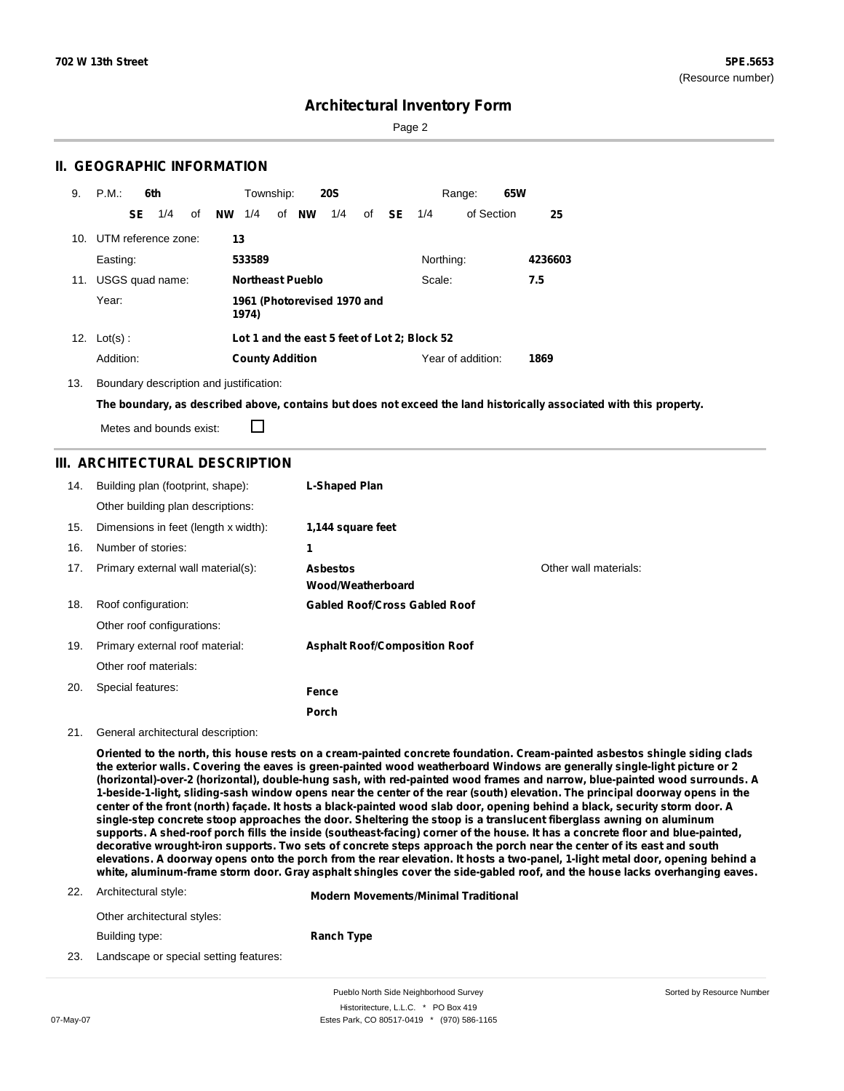Sorted by Resource Number

### **Architectural Inventory Form**

Page 2

### **II. GEOGRAPHIC INFORMATION**

| 9.              | P.M.       | 6th |                     |    |                                              | Township:                            |    |                         | <b>20S</b> |    |    |           | Range:            | 65W |         |
|-----------------|------------|-----|---------------------|----|----------------------------------------------|--------------------------------------|----|-------------------------|------------|----|----|-----------|-------------------|-----|---------|
|                 |            | SE. | 1/4                 | οf | <b>NW</b>                                    | 1/4                                  | of | <b>NW</b>               | 1/4        | of | SE | 1/4       | of Section        |     | 25      |
| 10 <sub>1</sub> |            |     | UTM reference zone: |    | 13                                           |                                      |    |                         |            |    |    |           |                   |     |         |
|                 | Easting:   |     |                     |    |                                              | 533589                               |    |                         |            |    |    | Northing: |                   |     | 4236603 |
| 11.             |            |     | USGS quad name:     |    |                                              |                                      |    | <b>Northeast Pueblo</b> |            |    |    | Scale:    |                   |     | 7.5     |
|                 | Year:      |     |                     |    |                                              | 1961 (Photorevised 1970 and<br>1974) |    |                         |            |    |    |           |                   |     |         |
| 12.             | $Lot(s)$ : |     |                     |    | Lot 1 and the east 5 feet of Lot 2; Block 52 |                                      |    |                         |            |    |    |           |                   |     |         |
|                 | Addition:  |     |                     |    |                                              | <b>County Addition</b>               |    |                         |            |    |    |           | Year of addition: |     | 1869    |

13. Boundary description and justification:

The boundary, as described above, contains but does not exceed the land historically associated with this property.

Metes and bounds exist:

П

### **III. ARCHITECTURAL DESCRIPTION**

| 14. | Building plan (footprint, shape):    | L-Shaped Plan                        |                       |
|-----|--------------------------------------|--------------------------------------|-----------------------|
|     | Other building plan descriptions:    |                                      |                       |
| 15. | Dimensions in feet (length x width): | 1,144 square feet                    |                       |
| 16. | Number of stories:                   | 1                                    |                       |
| 17. | Primary external wall material(s):   | <b>Asbestos</b><br>Wood/Weatherboard | Other wall materials: |
| 18. | Roof configuration:                  | <b>Gabled Roof/Cross Gabled Roof</b> |                       |
|     | Other roof configurations:           |                                      |                       |
| 19. | Primary external roof material:      | <b>Asphalt Roof/Composition Roof</b> |                       |
|     | Other roof materials:                |                                      |                       |
| 20. | Special features:                    | Fence                                |                       |
|     |                                      | Porch                                |                       |

#### 21. General architectural description:

Oriented to the north, this house rests on a cream-painted concrete foundation. Cream-painted asbestos shingle siding clads the exterior walls. Covering the eaves is green-painted wood weatherboard Windows are generally single-light picture or 2 **(horizontal)-over-2 (horizontal), double-hung sash, with red-painted wood frames and narrow, blue-painted wood surrounds. A** 1-beside-1-light, sliding-sash window opens near the center of the rear (south) elevation. The principal doorway opens in the center of the front (north) façade. It hosts a black-painted wood slab door, opening behind a black, security storm door. A single-step concrete stoop approaches the door. Sheltering the stoop is a translucent fiberglass awning on aluminum supports. A shed-roof porch fills the inside (southeast-facing) corner of the house. It has a concrete floor and blue-painted, decorative wrought-iron supports. Two sets of concrete steps approach the porch near the center of its east and south elevations. A doorway opens onto the porch from the rear elevation. It hosts a two-panel, 1-light metal door, opening behind a white, aluminum-frame storm door. Gray asphalt shingles cover the side-gabled roof, and the house lacks overhanging eaves.

22. Architectural style:

**Modern Movements/Minimal Traditional**

| Other architectural styles: |                   |
|-----------------------------|-------------------|
| Building type:              | <b>Ranch Type</b> |

23. Landscape or special setting features:

Pueblo North Side Neighborhood Survey Historitecture, L.L.C. \* PO Box 419 07-May-07 **Estes Park, CO 80517-0419** \* (970) 586-1165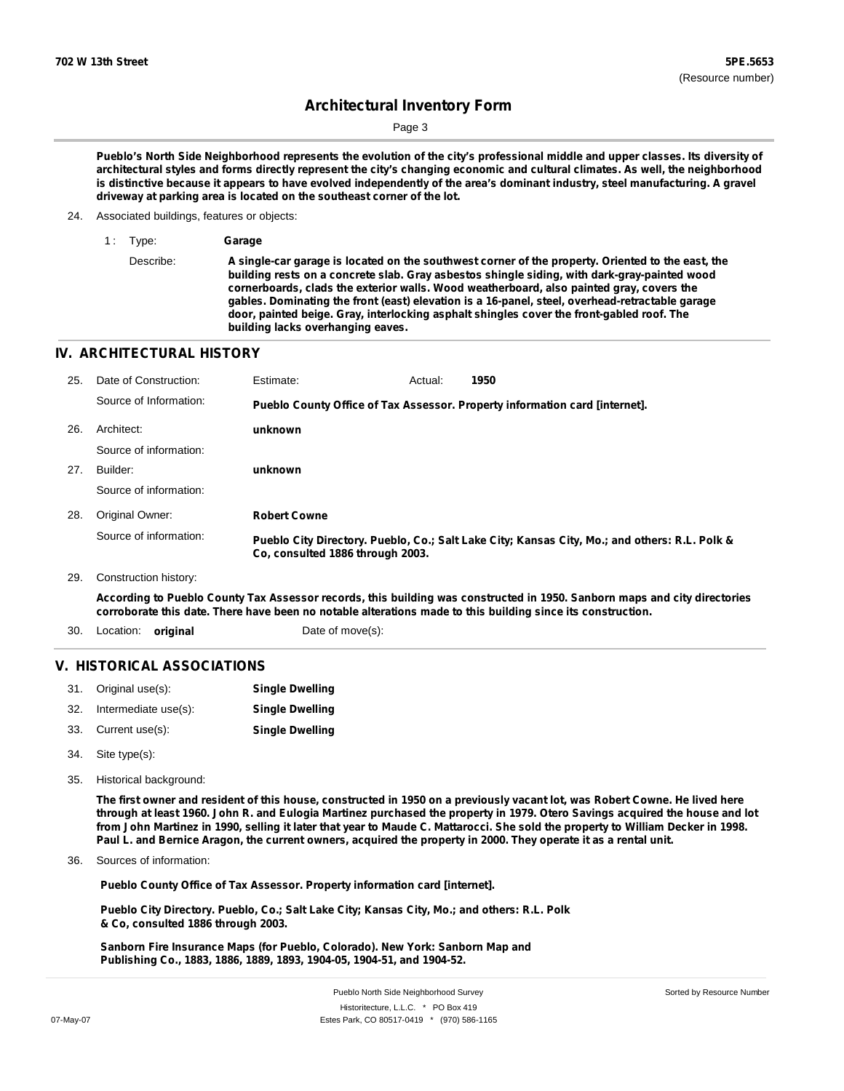Page 3

Pueblo's North Side Neighborhood represents the evolution of the city's professional middle and upper classes. Its diversity of architectural styles and forms directly represent the city's changing economic and cultural climates. As well, the neighborhood is distinctive because it appears to have evolved independently of the area's dominant industry, steel manufacturing. A gravel **driveway at parking area is located on the southeast corner of the lot.**

- 24. Associated buildings, features or objects:
	- 1 : Type: **Garage**

Describe: A single-car garage is located on the southwest corner of the property. Oriented to the east, the **building rests on a concrete slab. Gray asbestos shingle siding, with dark-gray-painted wood cornerboards, clads the exterior walls. Wood weatherboard, also painted gray, covers the gables. Dominating the front (east) elevation is a 16-panel, steel, overhead-retractable garage door, painted beige. Gray, interlocking asphalt shingles cover the front-gabled roof. The building lacks overhanging eaves.**

#### **IV. ARCHITECTURAL HISTORY**

| 25. | Date of Construction:  | Estimate:                        | Actual: | 1950                                                                                                                                                                                                                                     |
|-----|------------------------|----------------------------------|---------|------------------------------------------------------------------------------------------------------------------------------------------------------------------------------------------------------------------------------------------|
|     | Source of Information: |                                  |         | Pueblo County Office of Tax Assessor. Property information card [internet].                                                                                                                                                              |
| 26. | Architect:             | unknown                          |         |                                                                                                                                                                                                                                          |
|     | Source of information: |                                  |         |                                                                                                                                                                                                                                          |
| 27. | Builder:               | unknown                          |         |                                                                                                                                                                                                                                          |
|     | Source of information: |                                  |         |                                                                                                                                                                                                                                          |
| 28. | Original Owner:        | <b>Robert Cowne</b>              |         |                                                                                                                                                                                                                                          |
|     | Source of information: | Co. consulted 1886 through 2003. |         | Pueblo City Directory. Pueblo, Co.; Salt Lake City; Kansas City, Mo.; and others: R.L. Polk &                                                                                                                                            |
| 29. | Construction history:  |                                  |         |                                                                                                                                                                                                                                          |
|     |                        |                                  |         | According to Pueblo County Tax Assessor records, this building was constructed in 1950. Sanborn maps and city directories<br>corroborate this date. There have been no notable alterations made to this building since its construction. |

30. Location: **original** Date of move(s):

#### **V. HISTORICAL ASSOCIATIONS**

| 31. | Original use(s):     | <b>Single Dwelling</b> |
|-----|----------------------|------------------------|
| 32. | Intermediate use(s): | <b>Single Dwelling</b> |

- 33. Current use(s): **Single Dwelling**
- Site type(s): 34.
- Historical background: 35.

The first owner and resident of this house, constructed in 1950 on a previously vacant lot, was Robert Cowne. He lived here through at least 1960. John R. and Eulogia Martinez purchased the property in 1979. Otero Savings acquired the house and lot from John Martinez in 1990, selling it later that year to Maude C. Mattarocci. She sold the property to William Decker in 1998. Paul L. and Bernice Aragon, the current owners, acquired the property in 2000. They operate it as a rental unit.

Sources of information: 36.

**Pueblo County Office of Tax Assessor. Property information card [internet].**

**Pueblo City Directory. Pueblo, Co.; Salt Lake City; Kansas City, Mo.; and others: R.L. Polk & Co, consulted 1886 through 2003.**

**Sanborn Fire Insurance Maps (for Pueblo, Colorado). New York: Sanborn Map and Publishing Co., 1883, 1886, 1889, 1893, 1904-05, 1904-51, and 1904-52.**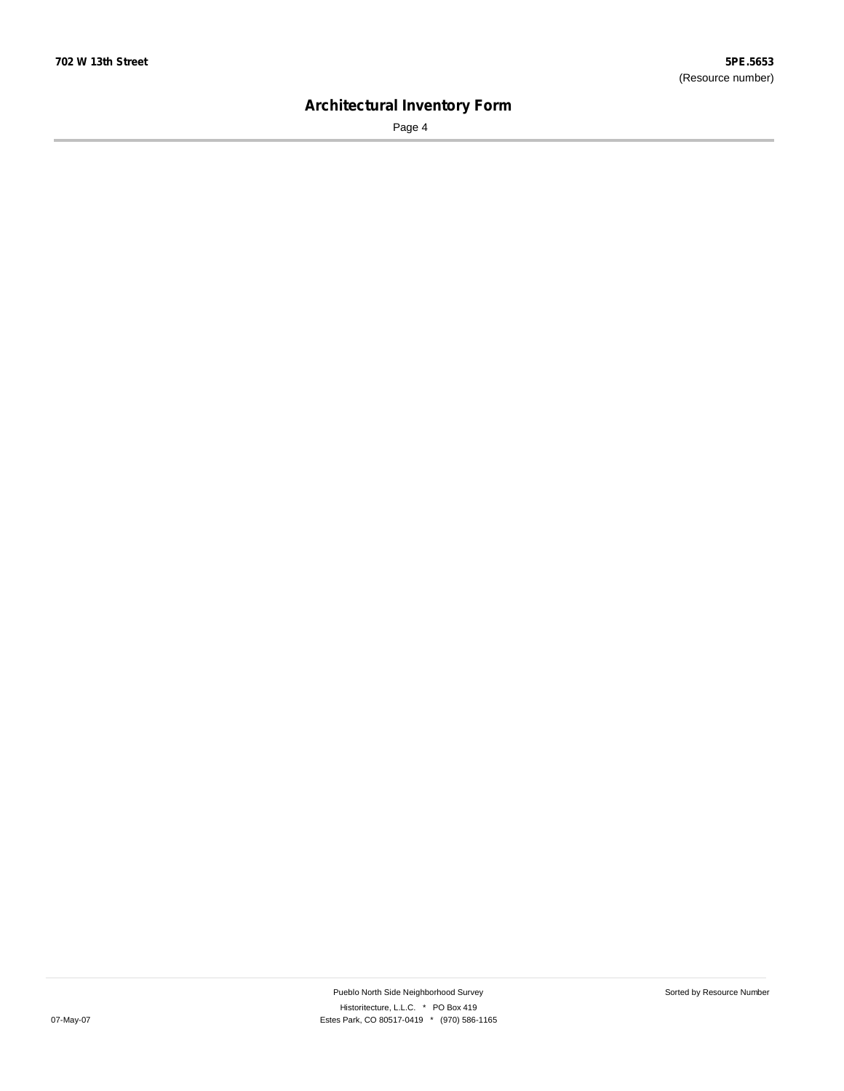Page 4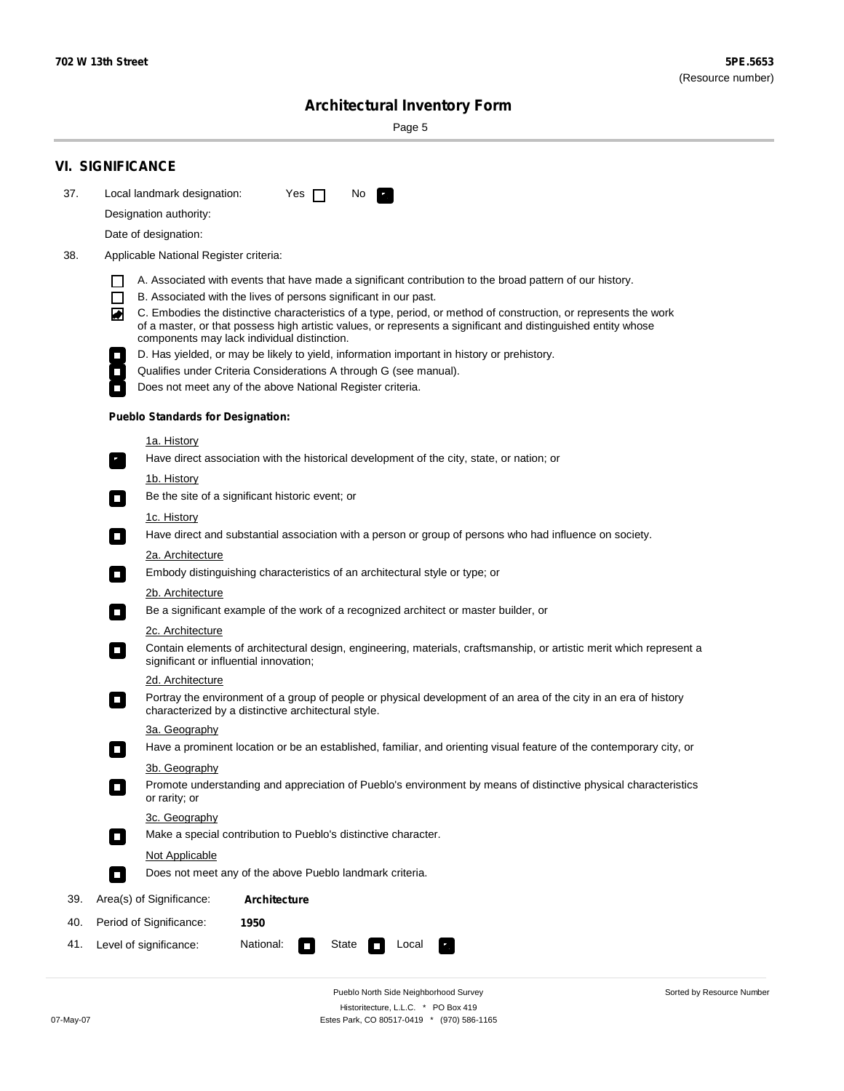٠

Sorted by Resource Number

# **Architectural Inventory Form**

Page 5

|     | <b>VI. SIGNIFICANCE</b>                                                                                                                                                                                                                                                                                                                                                                                                                |  |  |  |  |  |  |
|-----|----------------------------------------------------------------------------------------------------------------------------------------------------------------------------------------------------------------------------------------------------------------------------------------------------------------------------------------------------------------------------------------------------------------------------------------|--|--|--|--|--|--|
| 37. | Local landmark designation:<br>Yes $\Box$<br>No.                                                                                                                                                                                                                                                                                                                                                                                       |  |  |  |  |  |  |
|     | Designation authority:                                                                                                                                                                                                                                                                                                                                                                                                                 |  |  |  |  |  |  |
|     | Date of designation:                                                                                                                                                                                                                                                                                                                                                                                                                   |  |  |  |  |  |  |
| 38. | Applicable National Register criteria:                                                                                                                                                                                                                                                                                                                                                                                                 |  |  |  |  |  |  |
|     | A. Associated with events that have made a significant contribution to the broad pattern of our history.<br>l.<br>B. Associated with the lives of persons significant in our past.<br>$\Box$<br>C. Embodies the distinctive characteristics of a type, period, or method of construction, or represents the work<br>◙<br>of a master, or that possess high artistic values, or represents a significant and distinguished entity whose |  |  |  |  |  |  |
|     | components may lack individual distinction.<br>D. Has yielded, or may be likely to yield, information important in history or prehistory.                                                                                                                                                                                                                                                                                              |  |  |  |  |  |  |
|     | Qualifies under Criteria Considerations A through G (see manual).                                                                                                                                                                                                                                                                                                                                                                      |  |  |  |  |  |  |
|     | Does not meet any of the above National Register criteria.                                                                                                                                                                                                                                                                                                                                                                             |  |  |  |  |  |  |
|     | <b>Pueblo Standards for Designation:</b>                                                                                                                                                                                                                                                                                                                                                                                               |  |  |  |  |  |  |
|     | 1a. History                                                                                                                                                                                                                                                                                                                                                                                                                            |  |  |  |  |  |  |
|     | Have direct association with the historical development of the city, state, or nation; or                                                                                                                                                                                                                                                                                                                                              |  |  |  |  |  |  |
|     | <u>1b. History</u><br>Be the site of a significant historic event; or<br>$\mathcal{L}_{\mathcal{A}}$                                                                                                                                                                                                                                                                                                                                   |  |  |  |  |  |  |
|     | 1c. History<br>Have direct and substantial association with a person or group of persons who had influence on society.<br>$\blacksquare$                                                                                                                                                                                                                                                                                               |  |  |  |  |  |  |
|     | 2a. Architecture                                                                                                                                                                                                                                                                                                                                                                                                                       |  |  |  |  |  |  |
|     | Embody distinguishing characteristics of an architectural style or type; or<br>$\overline{\phantom{a}}$                                                                                                                                                                                                                                                                                                                                |  |  |  |  |  |  |
|     | 2b. Architecture                                                                                                                                                                                                                                                                                                                                                                                                                       |  |  |  |  |  |  |
|     | Be a significant example of the work of a recognized architect or master builder, or<br>$\sim$                                                                                                                                                                                                                                                                                                                                         |  |  |  |  |  |  |
|     | 2c. Architecture                                                                                                                                                                                                                                                                                                                                                                                                                       |  |  |  |  |  |  |
|     | Contain elements of architectural design, engineering, materials, craftsmanship, or artistic merit which represent a<br>О<br>significant or influential innovation;                                                                                                                                                                                                                                                                    |  |  |  |  |  |  |
|     | 2d. Architecture                                                                                                                                                                                                                                                                                                                                                                                                                       |  |  |  |  |  |  |
|     | Portray the environment of a group of people or physical development of an area of the city in an era of history<br>$\Box$<br>characterized by a distinctive architectural style.                                                                                                                                                                                                                                                      |  |  |  |  |  |  |
|     | 3a. Geography                                                                                                                                                                                                                                                                                                                                                                                                                          |  |  |  |  |  |  |
|     | Have a prominent location or be an established, familiar, and orienting visual feature of the contemporary city, or                                                                                                                                                                                                                                                                                                                    |  |  |  |  |  |  |
|     | 3b. Geography<br>Promote understanding and appreciation of Pueblo's environment by means of distinctive physical characteristics<br>or rarity; or                                                                                                                                                                                                                                                                                      |  |  |  |  |  |  |
|     | 3c. Geography<br>Make a special contribution to Pueblo's distinctive character.<br>$\sim$                                                                                                                                                                                                                                                                                                                                              |  |  |  |  |  |  |
|     | Not Applicable                                                                                                                                                                                                                                                                                                                                                                                                                         |  |  |  |  |  |  |
|     | Does not meet any of the above Pueblo landmark criteria.<br>$\overline{\phantom{a}}$                                                                                                                                                                                                                                                                                                                                                   |  |  |  |  |  |  |
| 39. | Area(s) of Significance:<br><b>Architecture</b>                                                                                                                                                                                                                                                                                                                                                                                        |  |  |  |  |  |  |
| 40. | Period of Significance:<br>1950                                                                                                                                                                                                                                                                                                                                                                                                        |  |  |  |  |  |  |
| 41. | National:<br>Level of significance:<br>State<br>Local<br>т,<br>П                                                                                                                                                                                                                                                                                                                                                                       |  |  |  |  |  |  |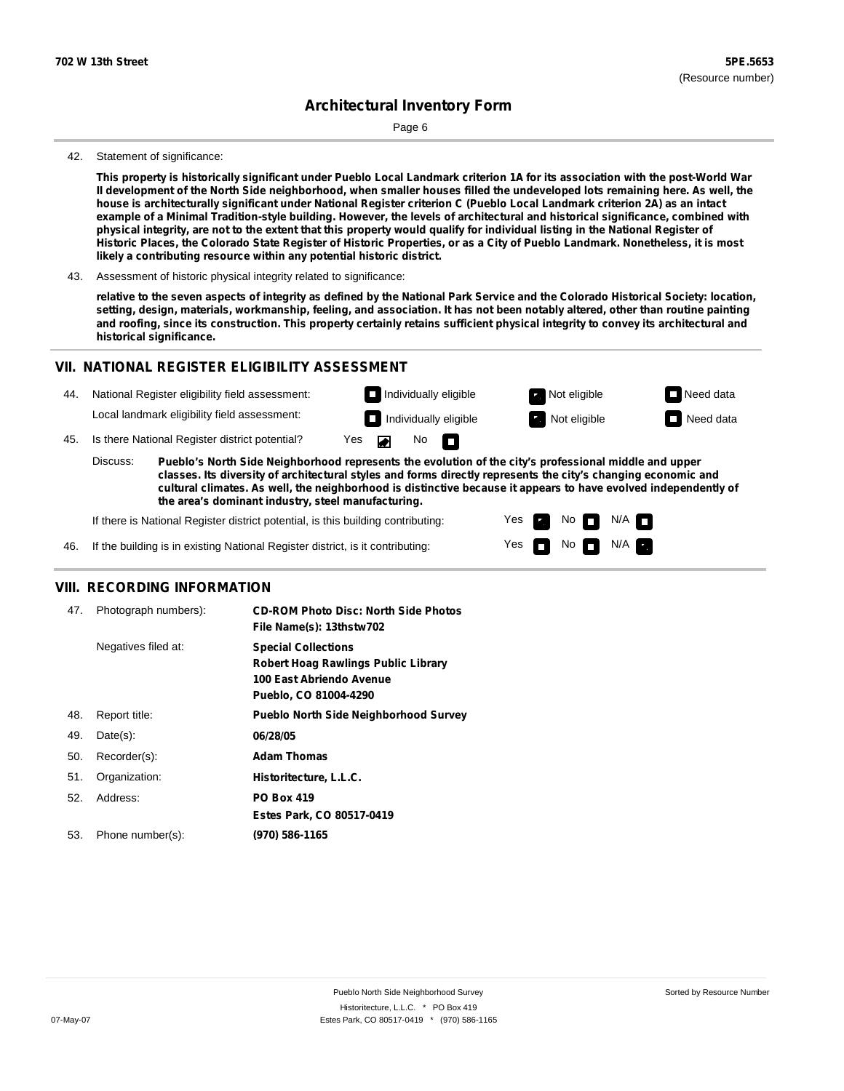Page 6

#### 42. Statement of significance:

This property is historically significant under Pueblo Local Landmark criterion 1A for its association with the post-World War Il development of the North Side neighborhood, when smaller houses filled the undeveloped lots remaining here. As well, the house is architecturally significant under National Register criterion C (Pueblo Local Landmark criterion 2A) as an intact example of a Minimal Tradition-style building. However, the levels of architectural and historical significance, combined with physical integrity, are not to the extent that this property would qualify for individual listing in the National Register of Historic Places, the Colorado State Register of Historic Properties, or as a City of Pueblo Landmark. Nonetheless, it is most **likely a contributing resource within any potential historic district.**

43. Assessment of historic physical integrity related to significance:

relative to the seven aspects of integrity as defined by the National Park Service and the Colorado Historical Society: location, setting, design, materials, workmanship, feeling, and association. It has not been notably altered, other than routine painting and roofing, since its construction. This property certainly retains sufficient physical integrity to convey its architectural and **historical significance.**

#### **VII. NATIONAL REGISTER ELIGIBILITY ASSESSMENT**

| 44. | National Register eligibility field assessment: |                                              |  |                    |                   | $\Box$ Individually eligible                                                                                                                                                                                  | Not eligible | $\Box$ Need data |
|-----|-------------------------------------------------|----------------------------------------------|--|--------------------|-------------------|---------------------------------------------------------------------------------------------------------------------------------------------------------------------------------------------------------------|--------------|------------------|
|     |                                                 | Local landmark eligibility field assessment: |  |                    |                   | $\Box$ Individually eligible                                                                                                                                                                                  | Not eligible | $\Box$ Need data |
| 45. | Is there National Register district potential?  |                                              |  | Yes $\blacksquare$ | No $\blacksquare$ |                                                                                                                                                                                                               |              |                  |
|     | Discuss:                                        |                                              |  |                    |                   | Pueblo's North Side Neighborhood represents the evolution of the city's professional middle and upper<br>hanna tha disaraithead arabitaathuu lan aan danna disartu sansaanta tha aitula lannaina aagusanin al |              |                  |

**classes. Its diversity of architectural styles and forms directly represents the city's changing economic and cultural climates. As well, the neighborhood is distinctive because it appears to have evolved independently of the area's dominant industry, steel manufacturing.**

Yes

Yes **not** Not N/A

Non<sub>d</sub> N/A

If there is National Register district potential, is this building contributing:

46. If the building is in existing National Register district, is it contributing:

#### **VIII. RECORDING INFORMATION**

| 47. | Photograph numbers): | <b>CD-ROM Photo Disc: North Side Photos</b><br>File Name(s): 13thstw702                                                       |
|-----|----------------------|-------------------------------------------------------------------------------------------------------------------------------|
|     | Negatives filed at:  | <b>Special Collections</b><br><b>Robert Hoag Rawlings Public Library</b><br>100 East Abriendo Avenue<br>Pueblo, CO 81004-4290 |
| 48. | Report title:        | <b>Pueblo North Side Neighborhood Survey</b>                                                                                  |
| 49. | $Date(s)$ :          | 06/28/05                                                                                                                      |
| 50. | Recorder(s):         | <b>Adam Thomas</b>                                                                                                            |
| 51. | Organization:        | Historitecture, L.L.C.                                                                                                        |
| 52. | Address:             | <b>PO Box 419</b>                                                                                                             |
|     |                      | Estes Park, CO 80517-0419                                                                                                     |
| 53. | Phone number(s):     | (970) 586-1165                                                                                                                |
|     |                      |                                                                                                                               |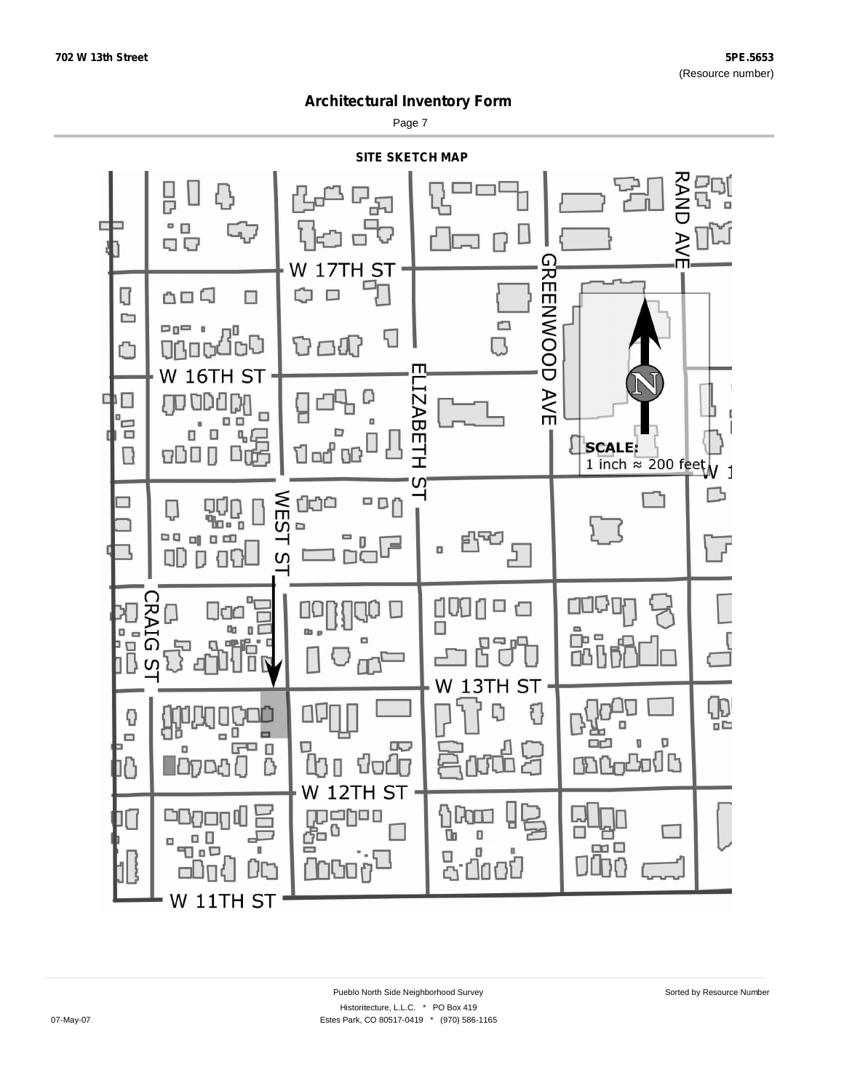Page 7